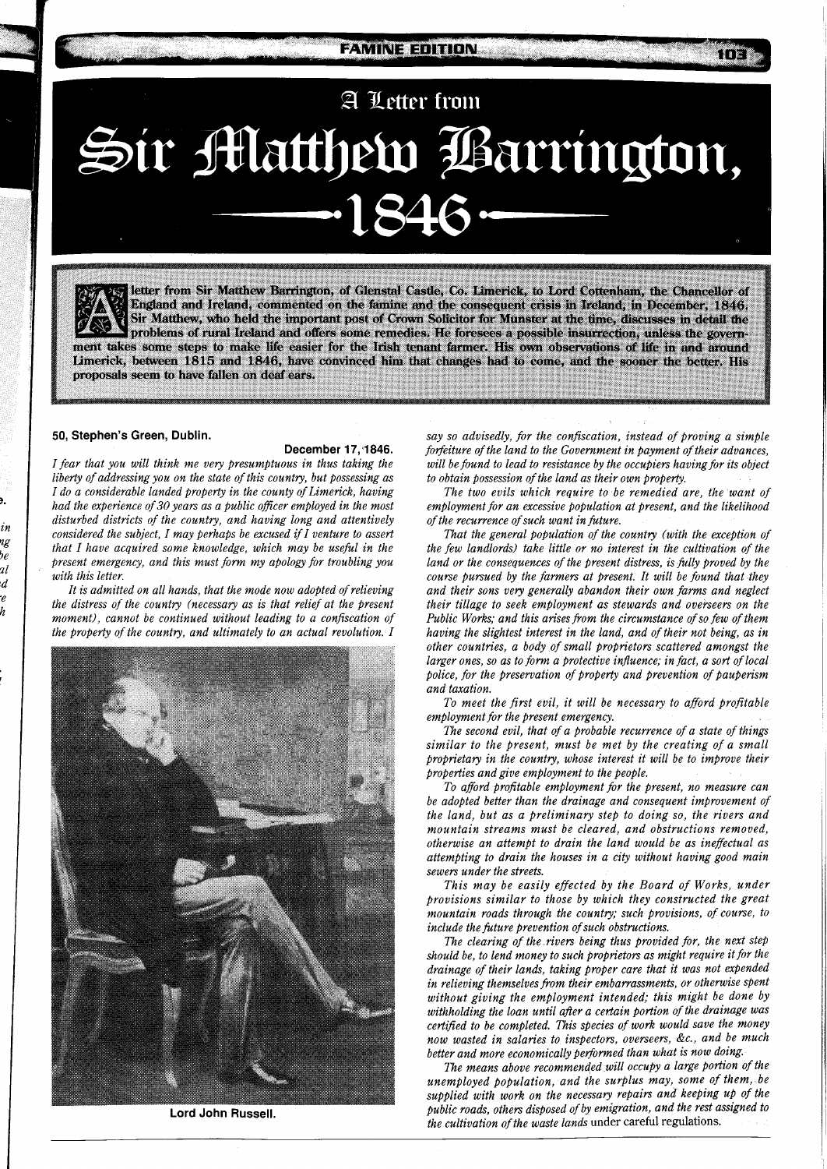**A** U etter from Sir Matthew Barrington, -1846

letter from Sir Matthew Barrington, of Glenstal Castle, Co. Limerick, to Lord Cottenham, the Chancellor of England and Ireland, commented on the famine and the consequent crisis in Ireland, in December, 1846. Sir Matthew, who held the important post of Crown Solicitor for Munster at the time, discusses in detail the problems of rural Ireland and offers some remedies. He foresees a possible insurrection, unless the government takes some steps to make life easier for the Irish tenant farmer. His own observations of life in and around Limerick, between 1815 and 1846, have convinced him that changes had to come, and the sooner the better. His proposals seem to have fallen on deaf ears.

## **50, Stephen's Green, Dublin.**

in rę bε  $\overline{u}$ d

## **December 17,\$1846.**

*I fear that you will think me very presumptuous in thus taking the liberty of addressing you on the state of this country, but possessing as I do a considerable landed property in the county of Limerick, having had the experience of* 30 *years as a public oficer employed in the most disturbed districts of the country, and having long and attentively considered the subject, I may perhaps be excused if I venture to assert that I have acquired some knowledge, which may be useful in the Present emergency, and this must form my apology for troubling you with this letter.* 

*It is admitted on all hands, that the mode now adopted of relieving the distress of the country (necessary as is that relief at the present moment), cannot be continued without leading to a confiscation of the property of the country, and ultimately to an actual revolution. I* 



**Lord John Russell.** 

*say so advisedly, for the confiscation, instead of proving a simple forfeiture of the land to the Government in payment of their advances, will be found to lead to resistance by the occupiers having for its object to obtain possession of the land as their own property.* 

n e

*The two evils which require to be remedied are, the want of employment for an excessive population at present, and the likelihood of the recurrence of such want in future.* 

*That the general population of the country (with the exception of the few landlords) take little or no interest in the cultivation of the land or the consequences of the present distress, is fully proved by the course pursued by the farmers at present. It will be found that they and their sons very generally abandon their own farms and neglect their tillage to seek employment as stewards and overseers on the Public Works; and this arises from the circumstance of so few of them having the slightest interest in the land, and of their not being, as in other countries, a body of small proprietors scattered amongst the larger ones, so as to form a protective influence; in fact, a sort of local police, for the preservation of property and prevention of pauperism and taxation.* 

*To meet the first evil, it will be necessary to afford profitable employment for the present emergency.* 

*The second evil, that of a probable recurrence of a state of things similar to the present, must be met by the creating of a small proprietary in the country, whose interest it will be to improve their properties and give employment to the people.* 

*To afford profitable employment for the present, no measure can be adopted better than the drainage and consequent improvement of the land, but as a preliminary step to doing so, the rivers and mountain streams must be cleared, and obstructions removed, otherwise an attempt to drain the land would be as ineffectual as attempting to drain the houses in a city without having good main sewers under the streets.* 

*This may be easily effected by the Board of Works, under provisions similar to those by which they constructed the great mountain roads through the country; such provisions, of course, to include the future prevention of such obstructions.* 

*The clearing of the rivers being thus provided for, the next step should be, to lend money to such Proprietors as might require it for the drainage of their lands, taking proper care that it was not expended in relieving themselves from their embarrassments, or otherwise spent without giving the employment intended; this might be done by withholding the loan until after a certain portion of the drainage was certified to be completed. This species of work would save the money now wasted in salaries to inspectors, overseers, &C., and be much better and more economically performed than what is now doing.* 

*The means above recommended will occupy a large portion of the unemployed population, and the surplus may, some of them, be supplied with work on the necessary repairs and keeping up of the public roads, others disposed of by emigration, and the rest assigned to the cultivation of the waste lands* under careful regulations.